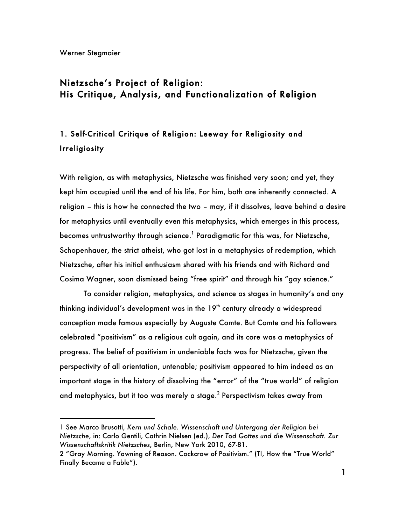$\overline{a}$ 

## Nietzsche's Project of Religion: His Critique, Analysis, and Functionalization of Religion

# 1. Self-Critical Critique of Religion: Leeway for Religiosity and Irreligiosity

With religion, as with metaphysics, Nietzsche was finished very soon; and yet, they kept him occupied until the end of his life. For him, both are inherently connected. A religion – this is how he connected the two – may, if it dissolves, leave behind a desire for metaphysics until eventually even this metaphysics, which emerges in this process, becomes untrustworthy through science.<sup>1</sup> Paradigmatic for this was, for Nietzsche, Schopenhauer, the strict atheist, who got lost in a metaphysics of redemption, which Nietzsche, after his initial enthusiasm shared with his friends and with Richard and Cosima Wagner, soon dismissed being "free spirit" and through his "gay science."

To consider religion, metaphysics, and science as stages in humanity's and any thinking individual's development was in the  $19<sup>th</sup>$  century already a widespread conception made famous especially by Auguste Comte. But Comte and his followers celebrated "positivism" as a religious cult again, and its core was a metaphysics of progress. The belief of positivism in undeniable facts was for Nietzsche, given the perspectivity of all orientation, untenable; positivism appeared to him indeed as an important stage in the history of dissolving the "error" of the "true world" of religion and metaphysics, but it too was merely a stage.<sup>2</sup> Perspectivism takes away from

<sup>1</sup> See Marco Brusotti, *Kern und Schale. Wissenschaft und Untergang der Religion bei Nietzsche*, in: Carlo Gentili, Cathrin Nielsen (ed.), *Der Tod Gottes und die Wissenschaft. Zur Wissenschaftskritik Nietzsches*, Berlin, New York 2010, 67-81.

<sup>2</sup> "Gray Morning. Yawning of Reason. Cockcrow of Positivism." (TI, How the "True World" Finally Became a Fable").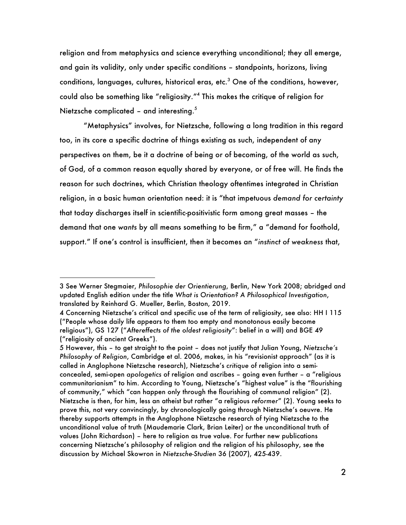religion and from metaphysics and science everything unconditional; they all emerge, and gain its validity, only under specific conditions – standpoints, horizons, living conditions, languages, cultures, historical eras, etc. $3$  One of the conditions, however, could also be something like "religiosity."<sup>4</sup> This makes the critique of religion for Nietzsche complicated – and interesting. $5$ 

"Metaphysics" involves, for Nietzsche, following a long tradition in this regard too, in its core a specific doctrine of things existing as such, independent of any perspectives on them, be it a doctrine of being or of becoming, of the world as such, of God, of a common reason equally shared by everyone, or of free will. He finds the reason for such doctrines, which Christian theology oftentimes integrated in Christian religion, in a basic human orientation need: it is "that impetuous *demand for certainty* that today discharges itself in scientific-positivistic form among great masses – the demand that one *wants* by all means something to be firm," a "demand for foothold, support." If one's control is insufficient, then it becomes an "*instinct of weakness* that,

<sup>3</sup> See Werner Stegmaier, *Philosophie der Orientierung*, Berlin, New York 2008; abridged and updated English edition under the title *What is Orientation? A Philosophical Investigation*, translated by Reinhard G. Mueller, Berlin, Boston, 2019.

<sup>4</sup> Concerning Nietzsche's critical and specific use of the term of religiosity, see also: HH I 115 ("People whose daily life appears to them too empty and monotonous easily become religious"), GS 127 ("*Aftereffects of the oldest religiosity*": belief in a will) and BGE 49 ("religiosity of ancient Greeks").

<sup>5</sup> However, this – to get straight to the point – does not justify that Julian Young, *Nietzsche's Philosophy of Religion*, Cambridge et al. 2006, makes, in his "revisionist approach" (as it is called in Anglophone Nietzsche research), Nietzsche's *critique* of religion into a semiconcealed, semi-open *apologetics* of religion and ascribes – going even further – a "religious communitarianism" to him. According to Young, Nietzsche's "highest value" is the "flourishing of community," which "can happen only through the flourishing of communal religion" (2). Nietzsche is then, for him, less an atheist but rather "a religious *reformer*" (2). Young seeks to prove this, not very convincingly, by chronologically going through Nietzsche's oeuvre. He thereby supports attempts in the Anglophone Nietzsche research of tying Nietzsche to the unconditional value of truth (Maudemarie Clark, Brian Leiter) or the unconditional truth of values (John Richardson) – here to religion as true value. For further new publications concerning Nietzsche's philosophy of religion and the religion of his philosophy, see the discussion by Michael Skowron in *Nietzsche-Studien* 36 (2007), 425-439.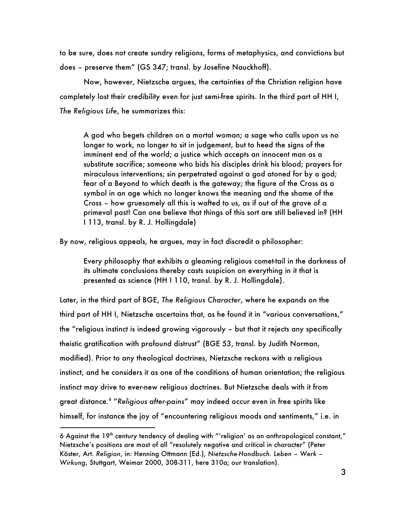to be sure, does not create sundry religions, forms of metaphysics, and convictions but does – preserve them" (GS 347; transl. by Josefine Nauckhoff).

Now, however, Nietzsche argues, the certainties of the Christian religion have completely lost their credibility even for just semi-free spirits. In the third part of HH I, *The Religious Life*, he summarizes this:

A god who begets children on a mortal woman; a sage who calls upon us no longer to work, no longer to sit in judgement, but to heed the signs of the imminent end of the world; a justice which accepts an innocent man as a substitute sacrifice; someone who bids his disciples drink his blood; prayers for miraculous interventions; sin perpetrated against a god atoned for by a god; fear of a Beyond to which death is the gateway; the figure of the Cross as a symbol in an age which no longer knows the meaning and the shame of the Cross – how gruesomely all this is wafted to us, as if out of the grave of a primeval past! Can one believe that things of this sort are still believed in? (HH I 113, transl. by R. J. Hollingdale)

By now, religious appeals, he argues, may in fact discredit a philosopher:

Every philosophy that exhibits a gleaming religious comet-tail in the darkness of its ultimate conclusions thereby casts suspicion on everything in it that is presented as science (HH I 110, transl. by R. J. Hollingdale).

Later, in the third part of BGE, *The Religious Character*, where he expands on the third part of HH I, Nietzsche ascertains that, as he found it in "various conversations," the "religious instinct is indeed growing vigorously – but that it rejects any specifically theistic gratification with profound distrust" (BGE 53, transl. by Judith Norman, modified). Prior to any theological doctrines, Nietzsche reckons with a religious instinct, and he considers it as one of the conditions of human orientation; the religious instinct may drive to ever-new religious doctrines. But Nietzsche deals with it from great distance.<sup>6</sup> "*Religious after-pains*" may indeed occur even in free spirits like himself, for instance the joy of "encountering religious moods and sentiments," i.e. in

<sup>6</sup> Against the  $19<sup>th</sup>$  century tendency of dealing with "'religion' as an anthropological constant," Nietzsche's positions are most of all "resolutely negative and critical in character" (Peter Köster, Art. *Religion*, in: Henning Ottmann (Ed.), *Nietzsche-Handbuch. Leben – Werk – Wirkung*, Stuttgart, Weimar 2000, 308-311, here 310a; our translation).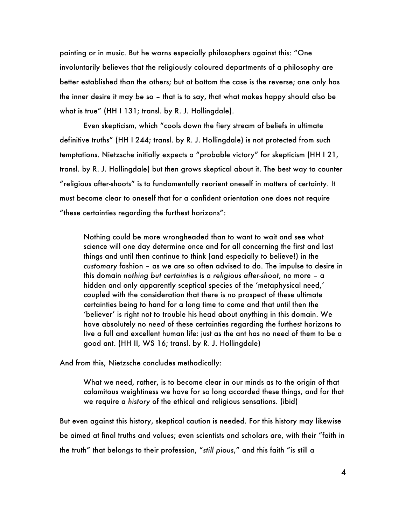painting or in music. But he warns especially philosophers against this: "One involuntarily believes that the religiously coloured departments of a philosophy are better established than the others; but at bottom the case is the reverse; one only has the inner desire it may *be* so – that is to say, that what makes happy should also be what is true" (HH I 131; transl. by R. J. Hollingdale).

Even skepticism, which "cools down the fiery stream of beliefs in ultimate definitive truths" (HH I 244; transl. by R. J. Hollingdale) is not protected from such temptations. Nietzsche initially expects a "probable victory" for skepticism (HH I 21, transl. by R. J. Hollingdale) but then grows skeptical about it. The best way to counter "religious after-shoots" is to fundamentally reorient oneself in matters of certainty. It must become clear to oneself that for a confident orientation one does not require "these certainties regarding the furthest horizons":

Nothing could be more wrongheaded than to want to wait and see what science will one day determine once and for all concerning the first and last things and until then continue to think (and especially to believe!) in the *customary* fashion – as we are so often advised to do. The impulse to desire in this domain *nothing but certainties* is a *religious after-shoot*, no more – a hidden and only apparently sceptical species of the 'metaphysical need,' coupled with the consideration that there is no prospect of these ultimate certainties being to hand for a long time to come and that until then the 'believer' is right not to trouble his head about anything in this domain. We have absolutely no *need* of these certainties regarding the furthest horizons to live a full and excellent human life: just as the ant has no need of them to be a good ant. (HH II, WS 16; transl. by R. J. Hollingdale)

And from this, Nietzsche concludes methodically:

What we need, rather, is to become clear in our minds as to the origin of that calamitous weightiness we have for so long accorded these things, and for that we require a *history* of the ethical and religious sensations. (ibid)

But even against this history, skeptical caution is needed. For this history may likewise be aimed at final truths and values; even scientists and scholars are, with their "faith in the truth" that belongs to their profession, "*still pious*," and this faith "is still a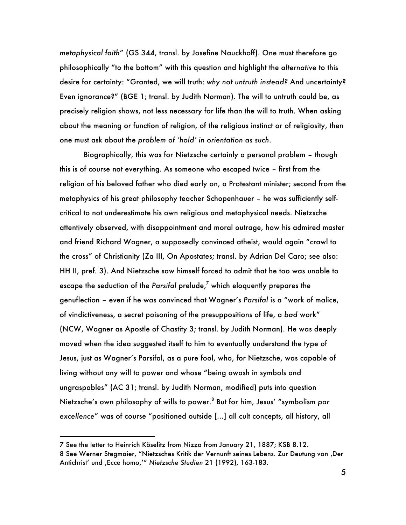*metaphysical faith*" (GS 344, transl. by Josefine Nauckhoff). One must therefore go philosophically "to the bottom" with this question and highlight the *alternative* to this desire for certainty: "Granted, we will truth: *why not untruth instead?* And uncertainty? Even ignorance?" (BGE 1; transl. by Judith Norman). The will to untruth could be, as precisely religion shows, not less necessary for life than the will to truth. When asking about the meaning or function of religion, of the religious instinct or of religiosity, then one must ask about the *problem of 'hold' in orientation as such*.

Biographically, this was for Nietzsche certainly a personal problem – though this is of course not everything. As someone who escaped twice – first from the religion of his beloved father who died early on, a Protestant minister; second from the metaphysics of his great philosophy teacher Schopenhauer – he was sufficiently selfcritical to not underestimate his own religious and metaphysical needs. Nietzsche attentively observed, with disappointment and moral outrage, how his admired master and friend Richard Wagner, a supposedly convinced atheist, would again "crawl to the cross" of Christianity (Za III, On Apostates; transl. by Adrian Del Caro; see also: HH II, pref. 3). And Nietzsche saw himself forced to admit that he too was unable to escape the seduction of the *Parsifal* prelude,<sup>7</sup> which eloquently prepares the genuflection – even if he was convinced that Wagner's *Parsifal* is a "work of malice, of vindictiveness, a secret poisoning of the presuppositions of life, a *bad* work" (NCW, Wagner as Apostle of Chastity 3; transl. by Judith Norman). He was deeply moved when the idea suggested itself to him to eventually understand the type of Jesus, just as Wagner's Parsifal, as a pure fool, who, for Nietzsche, was capable of living without any will to power and whose "being awash in symbols and ungraspables" (AC 31; transl. by Judith Norman, modified) puts into question Nietzsche's own philosophy of wills to power.<sup>8</sup> But for him, Jesus' "symbolism *par excellence*" was of course "positioned outside […] all cult concepts, all history, all

<sup>7</sup> See the letter to Heinrich Köselitz from Nizza from January 21, 1887; KSB 8.12.

<sup>8</sup> See Werner Stegmaier, "Nietzsches Kritik der Vernunft seines Lebens. Zur Deutung von 'Der Antichrist' und ,Ecce homo,'" Nietzsche Studien 21 (1992), 163-183.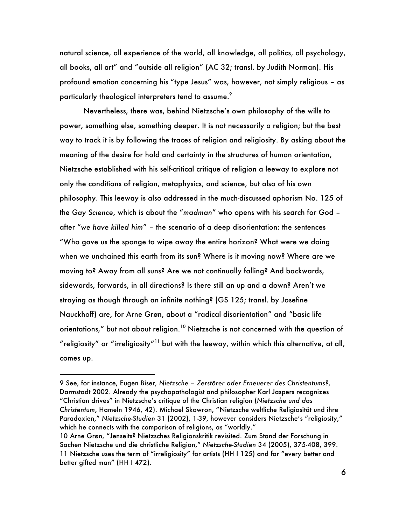natural science, all experience of the world, all knowledge, all politics, all psychology, all books, all art" and "outside all religion" (AC 32; transl. by Judith Norman). His profound emotion concerning his "type Jesus" was, however, not simply religious – as particularly theological interpreters tend to assume.<sup>9</sup>

Nevertheless, there was, behind Nietzsche's own philosophy of the wills to power, something else, something deeper. It is not necessarily a religion; but the best way to track it is by following the traces of religion and religiosity. By asking about the meaning of the desire for hold and certainty in the structures of human orientation, Nietzsche established with his self-critical critique of religion a leeway to explore not only the conditions of religion, metaphysics, and science, but also of his own philosophy. This leeway is also addressed in the much-discussed aphorism No. 125 of the *Gay Science*, which is about the "*madman*" who opens with his search for God – after "*we have killed him*" – the scenario of a deep disorientation: the sentences "Who gave us the sponge to wipe away the entire horizon? What were we doing when we unchained this earth from its sun? Where is it moving now? Where are we moving to? Away from all suns? Are we not continually falling? And backwards, sidewards, forwards, in all directions? Is there still an up and a down? Aren't we straying as though through an infinite nothing? (GS 125; transl. by Josefine Nauckhoff) are, for Arne Grøn, about a "radical disorientation" and "basic life orientations," but not about religion.<sup>10</sup> Nietzsche is not concerned with the question of "religiosity" or "irreligiosity"<sup>11</sup> but with the leeway, within which this alternative, at all, comes up.

<sup>9</sup> See, for instance, Eugen Biser, *Nietzsche – Zerstörer oder Erneuerer des Christentums?*, Darmstadt 2002. Already the psychopathologist and philosopher Karl Jaspers recognizes "Christian drives" in Nietzsche's critique of the Christian religion (*Nietzsche und das Christentum*, Hameln 1946, 42). Michael Skowron, "Nietzsche weltliche Religiosität und ihre Paradoxien," *Nietzsche-Studien* 31 (2002), 1-39, however considers Nietzsche's "religiosity," which he connects with the comparison of religions, as "worldly."

<sup>10</sup> Arne Grøn, "Jenseits? Nietzsches Religionskritik revisited. Zum Stand der Forschung in Sachen Nietzsche und die christliche Religion," *Nietzsche-Studien* 34 (2005), 375-408, 399. 11 Nietzsche uses the term of "irreligiosity" for artists (HH I 125) and for "every better and better gifted man" (HH I 472).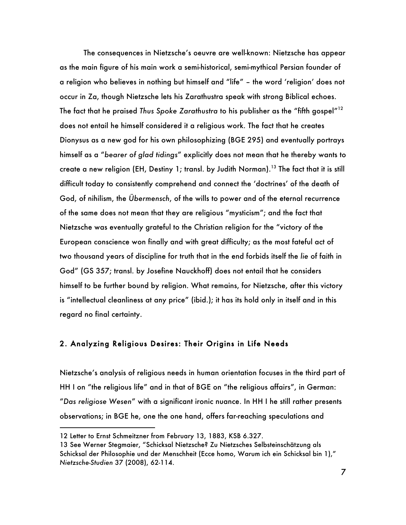The consequences in Nietzsche's oeuvre are well-known: Nietzsche has appear as the main figure of his main work a semi-historical, semi-mythical Persian founder of a religion who believes in nothing but himself and "life" – the word 'religion' does not occur in Za, though Nietzsche lets his Zarathustra speak with strong Biblical echoes. The fact that he praised *Thus Spoke Zarathustra* to his publisher as the "fifth gospel"<sup>12</sup> does not entail he himself considered it a religious work. The fact that he creates Dionysus as a new god for his own philosophizing (BGE 295) and eventually portrays himself as a "*bearer of glad tidings*" explicitly does not mean that he thereby wants to create a new religion (EH, Destiny 1; transl. by Judith Norman).<sup>13</sup> The fact that it is still difficult today to consistently comprehend and connect the 'doctrines' of the death of God, of nihilism, the *Übermensch*, of the wills to power and of the eternal recurrence of the same does not mean that they are religious "mysticism"; and the fact that Nietzsche was eventually grateful to the Christian religion for the "victory of the European conscience won finally and with great difficulty; as the most fateful act of two thousand years of discipline for truth that in the end forbids itself the *lie* of faith in God" (GS 357; transl. by Josefine Nauckhoff) does not entail that he considers himself to be further bound by religion. What remains, for Nietzsche, after this victory is "intellectual cleanliness at any price" (ibid.); it has its hold only in itself and in this regard no final certainty.

#### 2. Analyzing Religious Desires: Their Origins in Life Needs

Nietzsche's analysis of religious needs in human orientation focuses in the third part of HH I on "the religious life" and in that of BGE on "the religious affairs", in German: "*Das religiose Wesen*" with a significant ironic nuance. In HH I he still rather presents observations; in BGE he, one the one hand, offers far-reaching speculations and

<sup>12</sup> Letter to Ernst Schmeitzner from February 13, 1883, KSB 6.327.

<sup>13</sup> See Werner Stegmaier, "Schicksal Nietzsche? Zu Nietzsches Selbsteinschätzung als Schicksal der Philosophie und der Menschheit (Ecce homo, Warum ich ein Schicksal bin 1)," *Nietzsche-Studien* 37 (2008), 62-114.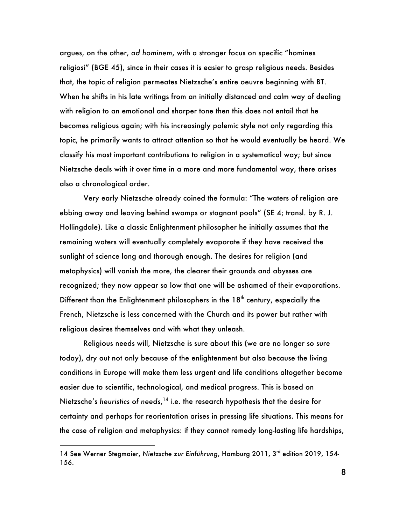argues, on the other, *ad hominem*, with a stronger focus on specific "homines religiosi" (BGE 45), since in their cases it is easier to grasp religious needs. Besides that, the topic of religion permeates Nietzsche's entire oeuvre beginning with BT. When he shifts in his late writings from an initially distanced and calm way of dealing with religion to an emotional and sharper tone then this does not entail that he becomes religious again; with his increasingly polemic style not only regarding this topic, he primarily wants to attract attention so that he would eventually be heard. We classify his most important contributions to religion in a systematical way; but since Nietzsche deals with it over time in a more and more fundamental way, there arises also a chronological order.

Very early Nietzsche already coined the formula: "The waters of religion are ebbing away and leaving behind swamps or stagnant pools" (SE 4; transl. by R. J. Hollingdale). Like a classic Enlightenment philosopher he initially assumes that the remaining waters will eventually completely evaporate if they have received the sunlight of science long and thorough enough. The desires for religion (and metaphysics) will vanish the more, the clearer their grounds and abysses are recognized; they now appear so low that one will be ashamed of their evaporations. Different than the Enlightenment philosophers in the  $18<sup>th</sup>$  century, especially the French, Nietzsche is less concerned with the Church and its power but rather with religious desires themselves and with what they unleash.

Religious needs will, Nietzsche is sure about this (we are no longer so sure today), dry out not only because of the enlightenment but also because the living conditions in Europe will make them less urgent and life conditions altogether become easier due to scientific, technological, and medical progress. This is based on Nietzsche's *heuristics of needs*, <sup>14</sup> i.e. the research hypothesis that the desire for certainty and perhaps for reorientation arises in pressing life situations. This means for the case of religion and metaphysics: if they cannot remedy long-lasting life hardships,

i.

<sup>14</sup> See Werner Stegmaier, *Nietzsche zur Einführung*, Hamburg 2011, 3rd edition 2019, 154- 156.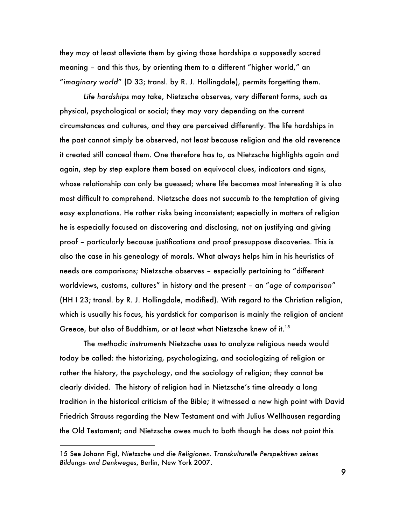they may at least alleviate them by giving those hardships a supposedly sacred meaning – and this thus, by orienting them to a different "higher world," an "*imaginary world*" (D 33; transl. by R. J. Hollingdale), permits forgetting them.

*Life hardships* may take, Nietzsche observes, very different forms, such as physical, psychological or social; they may vary depending on the current circumstances and cultures, and they are perceived differently. The life hardships in the past cannot simply be observed, not least because religion and the old reverence it created still conceal them. One therefore has to, as Nietzsche highlights again and again, step by step explore them based on equivocal clues, indicators and signs, whose relationship can only be guessed; where life becomes most interesting it is also most difficult to comprehend. Nietzsche does not succumb to the temptation of giving easy explanations. He rather risks being inconsistent; especially in matters of religion he is especially focused on discovering and disclosing, not on justifying and giving proof – particularly because justifications and proof presuppose discoveries. This is also the case in his genealogy of morals. What always helps him in his heuristics of needs are comparisons; Nietzsche observes – especially pertaining to "different worldviews, customs, cultures" in history and the present – an "*age of comparison*" (HH I 23; transl. by R. J. Hollingdale, modified). With regard to the Christian religion, which is usually his focus, his yardstick for comparison is mainly the religion of ancient Greece, but also of Buddhism, or at least what Nietzsche knew of it.<sup>15</sup>

The *methodic instruments* Nietzsche uses to analyze religious needs would today be called: the historizing, psychologizing, and sociologizing of religion or rather the history, the psychology, and the sociology of religion; they cannot be clearly divided. The history of religion had in Nietzsche's time already a long tradition in the historical criticism of the Bible; it witnessed a new high point with David Friedrich Strauss regarding the New Testament and with Julius Wellhausen regarding the Old Testament; and Nietzsche owes much to both though he does not point this

i.

<sup>15</sup> See Johann Figl, *Nietzsche und die Religionen. Transkulturelle Perspektiven seines Bildungs- und Denkweges*, Berlin, New York 2007.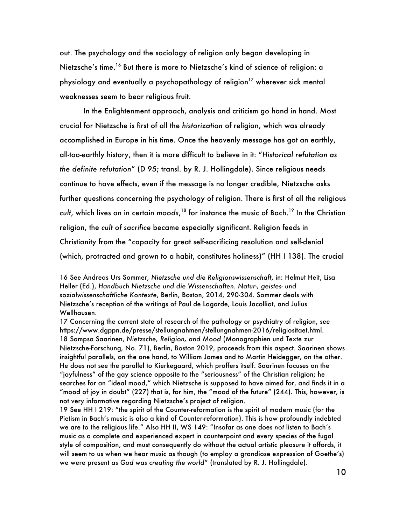out. The psychology and the sociology of religion only began developing in Nietzsche's time.<sup>16</sup> But there is more to Nietzsche's kind of science of religion: a physiology and eventually a psychopathology of religion<sup>17</sup> wherever sick mental weaknesses seem to bear religious fruit.

In the Enlightenment approach, analysis and criticism go hand in hand. Most crucial for Nietzsche is first of all the *historization* of religion, which was already accomplished in Europe in his time. Once the heavenly message has got an earthly, all-too-earthly history, then it is more difficult to believe in it: "*Historical refutation as the definite refutation*" (D 95; transl. by R. J. Hollingdale). Since religious needs continue to have effects, even if the message is no longer credible, Nietzsche asks further questions concerning the psychology of religion. There is first of all the religious *cult*, which lives on in certain *moods*, <sup>18</sup> for instance the music of Bach.<sup>19</sup> In the Christian religion, the *cult of sacrifice* became especially significant. Religion feeds in Christianity from the "capacity for great self-sacrificing resolution and self-denial (which, protracted and grown to a habit, constitutes holiness)" (HH I 138). The crucial

<sup>16</sup> See Andreas Urs Sommer, *Nietzsche und die Religionswissenschaft*, in: Helmut Heit, Lisa Heller (Ed.), *Handbuch Nietzsche und die Wissenschaften. Natur-, geistes- und sozialwissenschaftliche Kontexte*, Berlin, Boston, 2014, 290-304. Sommer deals with Nietzsche's reception of the writings of Paul de Lagarde, Louis Jacolliot, and Julius Wellhausen.

<sup>17</sup> Concerning the current state of research of the pathology or psychiatry of religion, see https://www.dgppn.de/presse/stellungnahmen/stellungnahmen-2016/religiositaet.html. 18 Sampsa Saarinen, *Nietzsche, Religion, and Mood* (Monographien und Texte zur Nietzsche-Forschung, No. 71), Berlin, Boston 2019, proceeds from this aspect. Saarinen shows insightful parallels, on the one hand, to William James and to Martin Heidegger, on the other. He does not see the parallel to Kierkegaard, which proffers itself. Saarinen focuses on the "joyfulness" of the gay science opposite to the "seriousness" of the Christian religion; he searches for an "ideal mood," which Nietzsche is supposed to have aimed for, and finds it in a "mood of joy in doubt" (227) that is, for him, the "mood of the future" (244). This, however, is not very informative regarding Nietzsche's project of religion.

<sup>19</sup> See HH I 219: "the spirit of the Counter-reformation is the spirit of modern music (for the Pietism in Bach's music is also a kind of Counter-reformation). This is how profoundly indebted we are to the religious life." Also HH II, WS 149: "Insofar as one does *not* listen to Bach's music as a complete and experienced expert in counterpoint and every species of the fugal style of composition, and must consequently do without the actual artistic pleasure it affords, it will seem to us when we hear music as though (to employ a grandiose expression of Goethe's) we were present *as God was creating the world*" (translated by R. J. Hollingdale).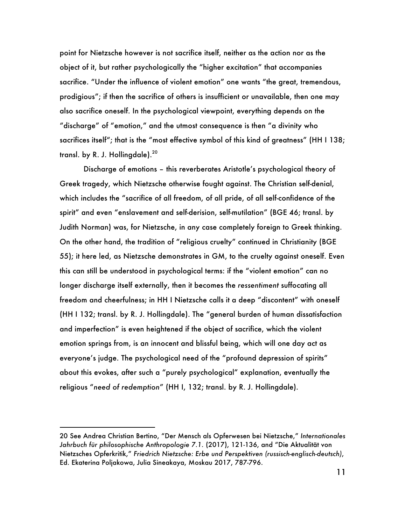point for Nietzsche however is not sacrifice itself, neither as the action nor as the object of it, but rather psychologically the "higher excitation" that accompanies sacrifice. "Under the influence of violent emotion" one wants "the great, tremendous, prodigious"; if then the sacrifice of others is insufficient or unavailable, then one may also sacrifice oneself. In the psychological viewpoint, everything depends on the "discharge" of "emotion," and the utmost consequence is then "a divinity who sacrifices itself"; that is the "most effective symbol of this kind of greatness" (HH I 138; transl. by R. J. Hollingdale).<sup>20</sup>

Discharge of emotions – this reverberates Aristotle's psychological theory of Greek tragedy, which Nietzsche otherwise fought against. The Christian self-denial, which includes the "sacrifice of all freedom, of all pride, of all self-confidence of the spirit" and even "enslavement and self-derision, self-mutilation" (BGE 46; transl. by Judith Norman) was, for Nietzsche, in any case completely foreign to Greek thinking. On the other hand, the tradition of "religious cruelty" continued in Christianity (BGE 55); it here led, as Nietzsche demonstrates in GM, to the cruelty against oneself. Even this can still be understood in psychological terms: if the "violent emotion" can no longer discharge itself externally, then it becomes the *ressentiment* suffocating all freedom and cheerfulness; in HH I Nietzsche calls it a deep "discontent" with oneself (HH I 132; transl. by R. J. Hollingdale). The "general burden of human dissatisfaction and imperfection" is even heightened if the object of sacrifice, which the violent emotion springs from, is an innocent and blissful being, which will one day act as everyone's judge. The psychological need of the "profound depression of spirits" about this evokes, after such a "purely psychological" explanation, eventually the religious "*need of redemption*" (HH I, 132; transl. by R. J. Hollingdale).

i.

<sup>20</sup> See Andrea Christian Bertino, "Der Mensch als Opferwesen bei Nietzsche," *Internationales Jahrbuch für philosophische Anthropologie 7.1.* (2017), 121-136, and "Die Aktualität von Nietzsches Opferkritik," *Friedrich Nietzsche: Erbe und Perspektiven (russisch-englisch-deutsch)*, Ed. Ekaterina Poljakowa, Julia Sineakaya, Moskau 2017, 787-796.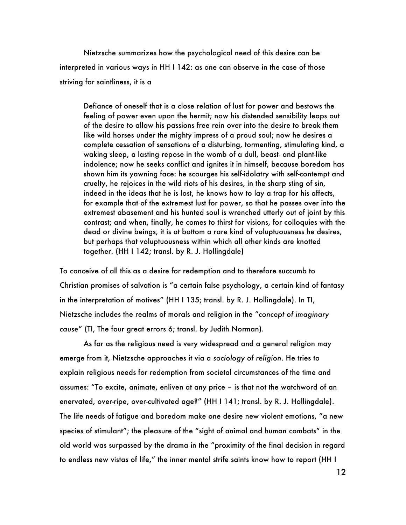Nietzsche summarizes how the psychological need of this desire can be interpreted in various ways in HH I 142: as one can observe in the case of those striving for saintliness, it is a

Defiance of oneself that is a close relation of lust for power and bestows the feeling of power even upon the hermit; now his distended sensibility leaps out of the desire to allow his passions free rein over into the desire to break them like wild horses under the mighty impress of a proud soul; now he desires a complete cessation of sensations of a disturbing, tormenting, stimulating kind, a waking sleep, a lasting repose in the womb of a dull, beast- and plant-like indolence; now he seeks conflict and ignites it in himself, because boredom has shown him its yawning face: he scourges his self-idolatry with self-contempt and cruelty, he rejoices in the wild riots of his desires, in the sharp sting of sin, indeed in the ideas that he is lost, he knows how to lay a trap for his affects, for example that of the extremest lust for power, so that he passes over into the extremest abasement and his hunted soul is wrenched utterly out of joint by this contrast; and when, finally, he comes to thirst for visions, for colloquies with the dead or divine beings, it is at bottom a rare kind of voluptuousness he desires, but perhaps that voluptuousness within which all other kinds are knotted together. (HH I 142; transl. by R. J. Hollingdale)

To conceive of all this as a desire for redemption and to therefore succumb to Christian promises of salvation is "a certain false psychology, a certain kind of fantasy in the interpretation of motives" (HH I 135; transl. by R. J. Hollingdale). In TI, Nietzsche includes the realms of morals and religion in the "*concept of imaginary cause*" (TI, The four great errors 6; transl. by Judith Norman).

As far as the religious need is very widespread and a general religion may emerge from it, Nietzsche approaches it via a *sociology of religion*. He tries to explain religious needs for redemption from societal circumstances of the time and assumes: "To excite, animate, enliven at any price – is that not the watchword of an enervated, over-ripe, over-cultivated age?" (HH I 141; transl. by R. J. Hollingdale). The life needs of fatigue and boredom make one desire new violent emotions, "a new species of stimulant"; the pleasure of the "sight of animal and human combats" in the old world was surpassed by the drama in the "proximity of the final decision in regard to endless new vistas of life," the inner mental strife saints know how to report (HH I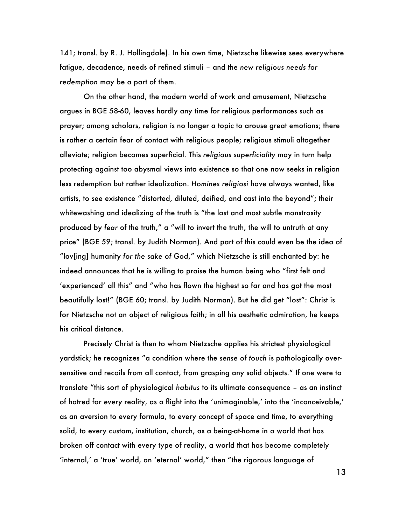141; transl. by R. J. Hollingdale). In his own time, Nietzsche likewise sees everywhere fatigue, decadence, needs of refined stimuli – and the *new religious needs for redemption* may be a part of them.

On the other hand, the modern world of work and amusement, Nietzsche argues in BGE 58-60, leaves hardly any time for religious performances such as prayer; among scholars, religion is no longer a topic to arouse great emotions; there is rather a certain fear of contact with religious people; religious stimuli altogether alleviate; religion becomes superficial. This *religious superficiality* may in turn help protecting against too abysmal views into existence so that one now seeks in religion less redemption but rather idealization. *Homines religiosi* have always wanted, like artists, to see existence "distorted, diluted, deified, and cast into the beyond"; their whitewashing and idealizing of the truth is "the last and most subtle monstrosity produced by *fear* of the truth," a "will to invert the truth, the will to untruth at any price" (BGE 59; transl. by Judith Norman). And part of this could even be the idea of "lov[ing] humanity *for the sake of God*," which Nietzsche is still enchanted by: he indeed announces that he is willing to praise the human being who "first felt and 'experienced' all this" and "who has flown the highest so far and has got the most beautifully lost!" (BGE 60; transl. by Judith Norman). But he did get "lost": Christ is for Nietzsche not an object of religious faith; in all his aesthetic admiration, he keeps his critical distance.

Precisely Christ is then to whom Nietzsche applies his strictest physiological yardstick; he recognizes "a condition where the *sense of touch* is pathologically oversensitive and recoils from all contact, from grasping any solid objects." If one were to translate "this sort of physiological *habitus* to its ultimate consequence – as an instinct of hatred for *every* reality, as a flight into the 'unimaginable,' into the 'inconceivable,' as an aversion to every formula, to every concept of space and time, to everything solid, to every custom, institution, church, as a being-at-home in a world that has broken off contact with every type of reality, a world that has become completely 'internal,' a 'true' world, an 'eternal' world," then "the rigorous language of

13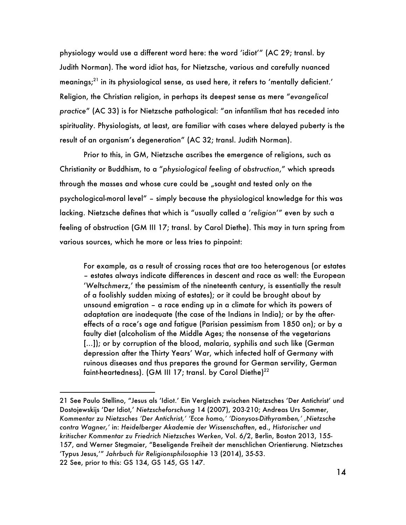physiology would use a different word here: the word 'idiot'" (AC 29; transl. by Judith Norman). The word idiot has, for Nietzsche, various and carefully nuanced meanings;<sup>21</sup> in its physiological sense, as used here, it refers to 'mentally deficient.' Religion, the Christian religion, in perhaps its deepest sense as mere "*evangelical practice*" (AC 33) is for Nietzsche pathological: "an infantilism that has receded into spirituality. Physiologists, at least, are familiar with cases where delayed puberty is the result of an organism's degeneration" (AC 32; transl. Judith Norman).

Prior to this, in GM, Nietzsche ascribes the emergence of religions, such as Christianity or Buddhism, to a "*physiological feeling of obstruction*," which spreads through the masses and whose cure could be "sought and tested only on the psychological-moral level" – simply because the physiological knowledge for this was lacking. Nietzsche defines that which is "usually called a '*religion*'" even by such a feeling of obstruction (GM III 17; transl. by Carol Diethe). This may in turn spring from various sources, which he more or less tries to pinpoint:

For example, as a result of crossing races that are too heterogenous (or estates – estates always indicate differences in descent and race as well: the European '*Weltschmerz*,' the pessimism of the nineteenth century, is essentially the result of a foolishly sudden mixing of estates); or it could be brought about by unsound emigration – a race ending up in a climate for which its powers of adaptation are inadequate (the case of the Indians in India); or by the aftereffects of a race's age and fatigue (Parisian pessimism from 1850 on); or by a faulty diet (alcoholism of the Middle Ages; the nonsense of the vegetarians […]); or by corruption of the blood, malaria, syphilis and such like (German depression after the Thirty Years' War, which infected half of Germany with ruinous diseases and thus prepares the ground for German servility, German faint-heartedness). (GM III 17; transl. by Carol Diethe)<sup>22</sup>

<sup>21</sup> See Paulo Stellino, "Jesus als 'Idiot.' Ein Vergleich zwischen Nietzsches 'Der Antichrist' und Dostojewskijs 'Der Idiot,' *Nietzscheforschung* 14 (2007), 203-210; Andreas Urs Sommer, *Kommentar zu Nietzsches 'Der Antichrist,' 'Ecce homo,' 'Dionysos-Dithyramben,' 'Nietzsche contra Wagner,'* in: *Heidelberger Akademie der Wissenschaften*, ed., *Historischer und kritischer Kommentar zu Friedrich Nietzsches Werken*, Vol. 6/2, Berlin, Boston 2013, 155- 157, and Werner Stegmaier, "Beseligende Freiheit der menschlichen Orientierung. Nietzsches 'Typus Jesus,'" *Jahrbuch für Religionsphilosophie* 13 (2014), 35-53. 22 See, prior to this: GS 134, GS 145, GS 147.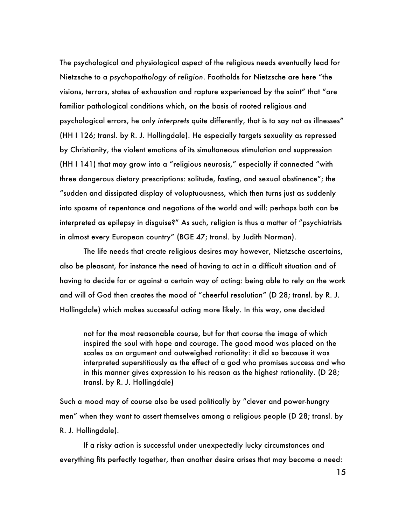The psychological and physiological aspect of the religious needs eventually lead for Nietzsche to a *psychopathology of religion*. Footholds for Nietzsche are here "the visions, terrors, states of exhaustion and rapture experienced by the saint" that "are familiar pathological conditions which, on the basis of rooted religious and psychological errors, he only *interprets* quite differently, that is to say not as illnesses" (HH I 126; transl. by R. J. Hollingdale). He especially targets sexuality as repressed by Christianity, the violent emotions of its simultaneous stimulation and suppression (HH I 141) that may grow into a "religious neurosis," especially if connected "with three dangerous dietary prescriptions: solitude, fasting, and sexual abstinence"; the "sudden and dissipated display of voluptuousness, which then turns just as suddenly into spasms of repentance and negations of the world and will: perhaps both can be interpreted as epilepsy in disguise?" As such, religion is thus a matter of "psychiatrists in almost every European country" (BGE 47; transl. by Judith Norman).

The life needs that create religious desires may however, Nietzsche ascertains, also be pleasant, for instance the need of having to act in a difficult situation and of having to decide for or against a certain way of acting: being able to rely on the work and will of God then creates the mood of "cheerful resolution" (D 28; transl. by R. J. Hollingdale) which makes successful acting more likely. In this way, one decided

not for the most reasonable course, but for that course the image of which inspired the soul with hope and courage. The good mood was placed on the scales as an argument and outweighed rationality: it did so because it was interpreted superstitiously as the effect of a god who promises success and who in this manner gives expression to his reason as the highest rationality. (D 28; transl. by R. J. Hollingdale)

Such a mood may of course also be used politically by "clever and power-hungry men" when they want to assert themselves among a religious people (D 28; transl. by R. J. Hollingdale).

If a risky action is successful under unexpectedly lucky circumstances and everything fits perfectly together, then another desire arises that may become a need: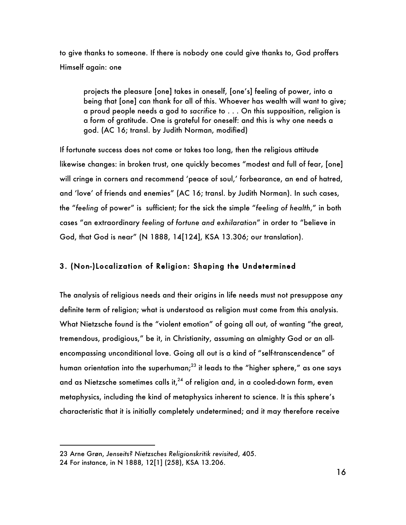to give thanks to someone. If there is nobody one could give thanks to, God proffers Himself again: one

projects the pleasure [one] takes in oneself, [one's] feeling of power, into a being that [one] can thank for all of this. Whoever has wealth will want to give; a proud people needs a god to *sacrifice* to . . . On this supposition, religion is a form of gratitude. One is grateful for oneself: and this is why one needs a god. (AC 16; transl. by Judith Norman, modified)

If fortunate success does not come or takes too long, then the religious attitude likewise changes: in broken trust, one quickly becomes "modest and full of fear, [one] will cringe in corners and recommend 'peace of soul,' forbearance, an end of hatred, and 'love' of friends and enemies" (AC 16; transl. by Judith Norman). In such cases, the "*feeling* of power" is sufficient; for the sick the simple "*feeling of health*," in both cases "an extraordinary *feeling of fortune and exhilaration*" in order to "believe in God, that God is near" (N 1888, 14[124], KSA 13.306; our translation).

### 3. (Non-)Localization of Religion: Shaping the Undetermined

The analysis of religious needs and their origins in life needs must not presuppose any definite term of religion; what is understood as religion must come from this analysis. What Nietzsche found is the "violent emotion" of going all out, of wanting "the great, tremendous, prodigious," be it, in Christianity, assuming an almighty God or an allencompassing unconditional love. Going all out is a kind of "self-transcendence" of human orientation into the superhuman; $^{23}$  it leads to the "higher sphere," as one says and as Nietzsche sometimes calls it, $^{24}$  of religion and, in a cooled-down form, even metaphysics, including the kind of metaphysics inherent to science. It is this sphere's characteristic that it is initially completely undetermined; and it may therefore receive

i

<sup>23</sup> Arne Grøn, *Jenseits? Nietzsches Religionskritik revisited*, 405.

<sup>24</sup> For instance, in N 1888, 12[1] (258), KSA 13.206.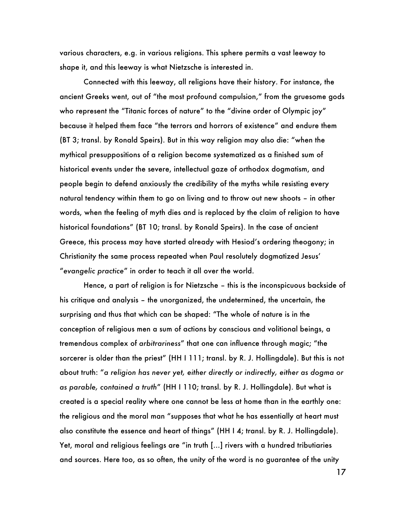various characters, e.g. in various religions. This sphere permits a vast leeway to shape it, and this leeway is what Nietzsche is interested in.

Connected with this leeway, all religions have their history. For instance, the ancient Greeks went, out of "the most profound compulsion," from the gruesome gods who represent the "Titanic forces of nature" to the "divine order of Olympic joy" because it helped them face "the terrors and horrors of existence" and endure them (BT 3; transl. by Ronald Speirs). But in this way religion may also die: "when the mythical presuppositions of a religion become systematized as a finished sum of historical events under the severe, intellectual gaze of orthodox dogmatism, and people begin to defend anxiously the credibility of the myths while resisting every natural tendency within them to go on living and to throw out new shoots – in other words, when the feeling of myth dies and is replaced by the claim of religion to have historical foundations" (BT 10; transl. by Ronald Speirs). In the case of ancient Greece, this process may have started already with Hesiod's ordering theogony; in Christianity the same process repeated when Paul resolutely dogmatized Jesus' "*evangelic practice*" in order to teach it all over the world.

Hence, a part of religion is for Nietzsche – this is the inconspicuous backside of his critique and analysis – the unorganized, the undetermined, the uncertain, the surprising and thus that which can be shaped: "The whole of nature is in the conception of religious men a sum of actions by conscious and volitional beings, a tremendous complex of *arbitrariness*" that one can influence through magic; "the sorcerer is older than the priest" (HH I 111; transl. by R. J. Hollingdale). But this is not about truth: "*a religion has never yet, either directly or indirectly, either as dogma or as parable, contained a truth*" (HH I 110; transl. by R. J. Hollingdale). But what is created is a special reality where one cannot be less at home than in the earthly one: the religious and the moral man "supposes that what he has essentially at heart must also constitute the essence and heart of things" (HH I 4; transl. by R. J. Hollingdale). Yet, moral and religious feelings are "in truth […] rivers with a hundred tributiaries and sources. Here too, as so often, the unity of the word is no guarantee of the unity

17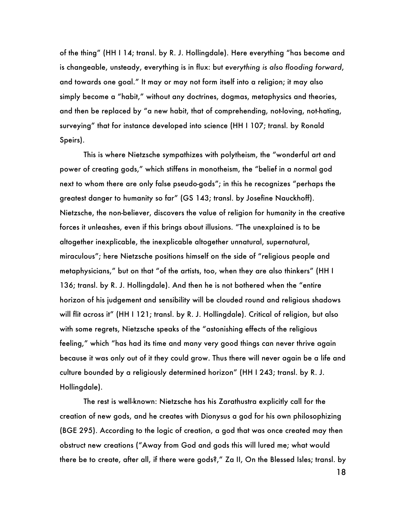of the thing" (HH I 14; transl. by R. J. Hollingdale). Here everything "has become and is changeable, unsteady, everything is in flux: but *everything is also flooding forward*, and towards one goal." It may or may not form itself into a religion; it may also simply become a "habit," without any doctrines, dogmas, metaphysics and theories, and then be replaced by "a new habit, that of comprehending, not-loving, not-hating, surveying" that for instance developed into science (HH I 107; transl. by Ronald Speirs).

This is where Nietzsche sympathizes with polytheism, the "wonderful art and power of creating gods," which stiffens in monotheism, the "belief in a normal god next to whom there are only false pseudo-gods"; in this he recognizes "perhaps the greatest danger to humanity so far" (GS 143; transl. by Josefine Nauckhoff). Nietzsche, the non-believer, discovers the value of religion for humanity in the creative forces it unleashes, even if this brings about illusions. "The unexplained is to be altogether inexplicable, the inexplicable altogether unnatural, supernatural, miraculous"; here Nietzsche positions himself on the side of "religious people and metaphysicians," but on that "of the artists, too, when they are also thinkers" (HH I 136; transl. by R. J. Hollingdale). And then he is not bothered when the "entire horizon of his judgement and sensibility will be clouded round and religious shadows will flit across it" (HH I 121; transl. by R. J. Hollingdale). Critical of religion, but also with some regrets, Nietzsche speaks of the "astonishing effects of the religious feeling," which "has had its time and many very good things can never thrive again because it was only out of it they could grow. Thus there will never again be a life and culture bounded by a religiously determined horizon" (HH I 243; transl. by R. J. Hollingdale).

The rest is well-known: Nietzsche has his Zarathustra explicitly call for the creation of new gods, and he creates with Dionysus a god for his own philosophizing (BGE 295). According to the logic of creation, a god that was once created may then obstruct new creations ("Away from God and gods this will lured me; what would there be to create, after all, if there were gods?," Za II, On the Blessed Isles; transl. by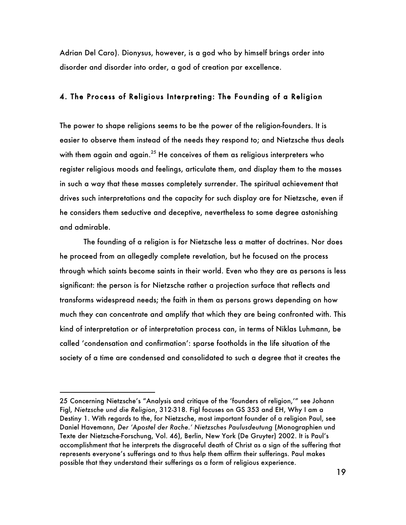Adrian Del Caro). Dionysus, however, is a god who by himself brings order into disorder and disorder into order, a god of creation par excellence.

#### 4. The Process of Religious Interpreting: The Founding of a Religion

The power to shape religions seems to be the power of the religion-founders. It is easier to observe them instead of the needs they respond to; and Nietzsche thus deals with them again and again.<sup>25</sup> He conceives of them as religious interpreters who register religious moods and feelings, articulate them, and display them to the masses in such a way that these masses completely surrender. The spiritual achievement that drives such interpretations and the capacity for such display are for Nietzsche, even if he considers them seductive and deceptive, nevertheless to some degree astonishing and admirable.

The founding of a religion is for Nietzsche less a matter of doctrines. Nor does he proceed from an allegedly complete revelation, but he focused on the process through which saints become saints in their world. Even who they are as persons is less significant: the person is for Nietzsche rather a projection surface that reflects and transforms widespread needs; the faith in them as persons grows depending on how much they can concentrate and amplify that which they are being confronted with. This kind of interpretation or of interpretation process can, in terms of Niklas Luhmann, be called 'condensation and confirmation': sparse footholds in the life situation of the society of a time are condensed and consolidated to such a degree that it creates the

<sup>25</sup> Concerning Nietzsche's "Analysis and critique of the 'founders of religion,'" see Johann Figl, *Nietzsche und die Religion*, 312-318. Figl focuses on GS 353 and EH, Why I am a Destiny 1. With regards to the, for Nietzsche, most important founder of a religion Paul, see Daniel Havemann, *Der 'Apostel der Rache.' Nietzsches Paulusdeutung* (Monographien und Texte der Nietzsche-Forschung, Vol. 46), Berlin, New York (De Gruyter) 2002. It is Paul's accomplishment that he interprets the disgraceful death of Christ as a sign of the suffering that represents everyone's sufferings and to thus help them affirm their sufferings. Paul makes possible that they understand their sufferings as a form of religious experience.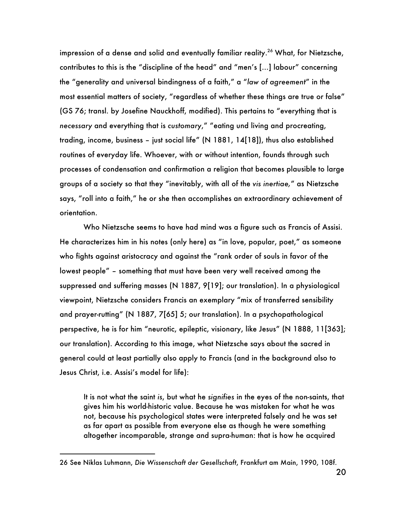impression of a dense and solid and eventually familiar reality.<sup>26</sup> What, for Nietzsche, contributes to this is the "discipline of the head" and "men's […] labour" concerning the "generality and universal bindingness of a faith," a "*law of agreement*" in the most essential matters of society, "regardless of whether these things are true or false" (GS 76; transl. by Josefine Nauckhoff, modified). This pertains to "everything that is *necessary* and everything that is *customary*," "eating und living and procreating, trading, income, business – just social life" (N 1881, 14[18]), thus also established routines of everyday life. Whoever, with or without intention, founds through such processes of condensation and confirmation a religion that becomes plausible to large groups of a society so that they "inevitably, with all of the *vis inertiae,*" as Nietzsche says, "roll into a faith," he or she then accomplishes an extraordinary achievement of orientation.

Who Nietzsche seems to have had mind was a figure such as Francis of Assisi. He characterizes him in his notes (only here) as "in love, popular, poet," as someone who fights against aristocracy and against the "rank order of souls in favor of the lowest people" – something that must have been very well received among the suppressed and suffering masses (N 1887, 9[19]; our translation). In a physiological viewpoint, Nietzsche considers Francis an exemplary "mix of transferred sensibility and prayer-rutting" (N 1887, 7[65] 5; our translation). In a psychopathological perspective, he is for him "neurotic, epileptic, visionary, like Jesus" (N 1888, 11[363]; our translation). According to this image, what Nietzsche says about the sacred in general could at least partially also apply to Francis (and in the background also to Jesus Christ, i.e. Assisi's model for life):

It is not what the saint *is*, but what he *signifies* in the eyes of the non-saints, that gives him his world-historic value. Because he was mistaken for what he was not, because his psychological states were interpreted falsely and he was set as far apart as possible from everyone else as though he were something altogether incomparable, strange and supra-human: that is how he acquired

<sup>26</sup> See Niklas Luhmann, *Die Wissenschaft der Gesellschaft*, Frankfurt am Main, 1990, 108f.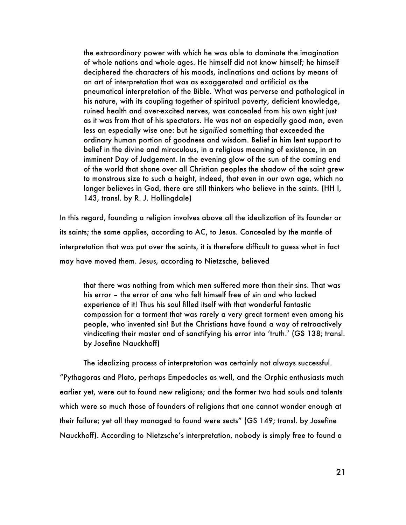the extraordinary power with which he was able to dominate the imagination of whole nations and whole ages. He himself did not know himself; he himself deciphered the characters of his moods, inclinations and actions by means of an art of interpretation that was as exaggerated and artificial as the pneumatical interpretation of the Bible. What was perverse and pathological in his nature, with its coupling together of spiritual poverty, deficient knowledge, ruined health and over-excited nerves, was concealed from his own sight just as it was from that of his spectators. He was not an especially good man, even less an especially wise one: but he *signified* something that exceeded the ordinary human portion of goodness and wisdom. Belief in him lent support to belief in the divine and miraculous, in a religious meaning of existence, in an imminent Day of Judgement. In the evening glow of the sun of the coming end of the world that shone over all Christian peoples the shadow of the saint grew to monstrous size to such a height, indeed, that even in our own age, which no longer believes in God, there are still thinkers who believe in the saints. (HH I, 143, transl. by R. J. Hollingdale)

In this regard, founding a religion involves above all the idealization of its founder or its saints; the same applies, according to AC, to Jesus. Concealed by the mantle of interpretation that was put over the saints, it is therefore difficult to guess what in fact may have moved them. Jesus, according to Nietzsche, believed

that there was nothing from which men suffered more than their sins. That was his error – the error of one who felt himself free of sin and who lacked experience of it! Thus his soul filled itself with that wonderful fantastic compassion for a torment that was rarely a very great torment even among his people, who invented sin! But the Christians have found a way of retroactively vindicating their master and of sanctifying his error into 'truth.' (GS 138; transl. by Josefine Nauckhoff)

The idealizing process of interpretation was certainly not always successful. "Pythagoras and Plato, perhaps Empedocles as well, and the Orphic enthusiasts much earlier yet, were out to found new religions; and the former two had souls and talents which were so much those of founders of religions that one cannot wonder enough at their failure; yet all they managed to found were sects" (GS 149; transl. by Josefine Nauckhoff). According to Nietzsche's interpretation, nobody is simply free to found a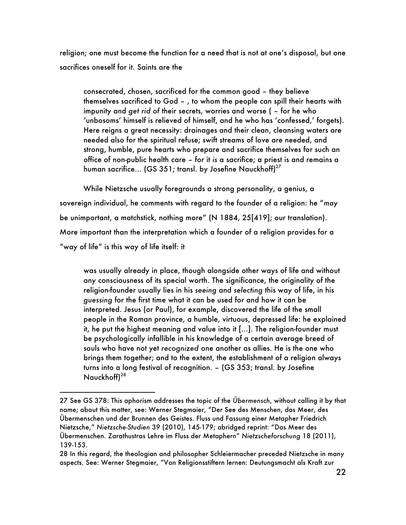religion; one must become the function for a need that is not at one's disposal, but one sacrifices oneself for it. Saints are the

consecrated, chosen, sacrificed for the common good – they believe themselves sacrificed to God – , to whom the people can spill their hearts with impunity and *get rid of* their secrets, worries and worse ( – for he who 'unbosoms' himself is relieved of himself, and he who has 'confessed,' forgets). Here reigns a great necessity: drainages and their clean, cleansing waters are needed also for the spiritual refuse; swift streams of love are needed, and strong, humble, pure hearts who prepare and sacrifice themselves for such an office of non-public health care – for it *is* a sacrifice; a priest is and remains a human sacrifice... (GS 351; transl. by Josefine Nauckhoff) $^{27}$ 

While Nietzsche usually foregrounds a strong personality, a genius, a sovereign individual, he comments with regard to the founder of a religion: he "*may* be unimportant, a matchstick, nothing more" (N 1884, 25[419]; our translation). More important than the interpretation which a founder of a religion provides for a "way of life" is this way of life itself: it

was usually already in place, though alongside other ways of life and without any consciousness of its special worth. The significance, the originality of the religion-founder usually lies in his *seeing* and *selecting* this way of life, in his *guessing* for the first time what it can be used for and how it can be interpreted. Jesus (or Paul), for example, discovered the life of the small people in the Roman province, a humble, virtuous, depressed life: he explained it, he put the highest meaning and value into it […]. The religion-founder must be psychologically infallible in his knowledge of a certain average breed of souls who have not yet *recognized* one another as allies. He is the one who brings them together; and to the extent, the establishment of a religion always turns into a long festival of recognition. – (GS 353; transl. by Josefine Nauckhoff)<sup>28</sup>

<sup>27</sup> See GS 378: This aphorism addresses the topic of the *Übermensch*, without calling it by that name; about this matter, see: Werner Stegmaier, "Der See des Menschen, das Meer, des Übermenschen und der Brunnen des Geistes. Fluss und Fassung einer Metapher Friedrich Nietzsche," *Nietzsche-Studien* 39 (2010), 145-179; abridged reprint: "Das Meer des Übermenschen. Zarathustras Lehre im Fluss der Metaphern" *Nietzscheforschung* 18 (2011), 139-153.

<sup>28</sup> In this regard, the theologian and philosopher Schleiermacher preceded Nietzsche in many aspects. See: Werner Stegmaier, "Von Religionsstiftern lernen: Deutungsmacht als Kraft zur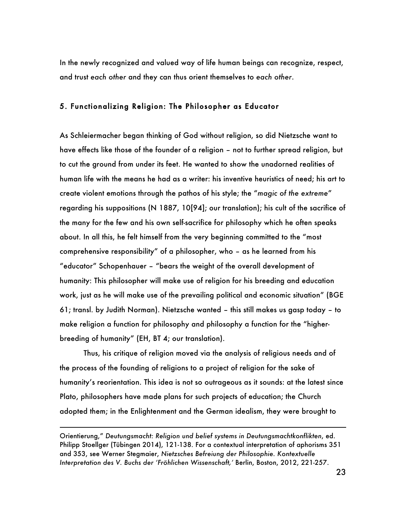In the newly recognized and valued way of life human beings can recognize, respect, and trust *each other* and they can thus orient themselves to *each other*.

### 5. Functionalizing Religion: The Philosopher as Educator

As Schleiermacher began thinking of God without religion, so did Nietzsche want to have effects like those of the founder of a religion – not to further spread religion, but to cut the ground from under its feet. He wanted to show the unadorned realities of human life with the means he had as a writer: his inventive heuristics of need; his art to create violent emotions through the pathos of his style; the "*magic of the extreme*" regarding his suppositions (N 1887, 10[94]; our translation); his cult of the sacrifice of the many for the few and his own self-sacrifice for philosophy which he often speaks about. In all this, he felt himself from the very beginning committed to the "most comprehensive responsibility" of a philosopher, who – as he learned from his "educator" Schopenhauer – "bears the weight of the overall development of humanity: This philosopher will make use of religion for his breeding and education work, just as he will make use of the prevailing political and economic situation" (BGE 61; transl. by Judith Norman). Nietzsche wanted – this still makes us gasp today – to make religion a function for philosophy and philosophy a function for the "higherbreeding of humanity" (EH, BT 4; our translation).

Thus, his critique of religion moved via the analysis of religious needs and of the process of the founding of religions to a project of religion for the sake of humanity's reorientation. This idea is not so outrageous as it sounds: at the latest since Plato, philosophers have made plans for such projects of education; the Church adopted them; in the Enlightenment and the German idealism, they were brought to

i

Orientierung," *Deutungsmacht: Religion und belief systems in Deutungsmachtkonflikten*, ed. Philipp Stoellger (Tübingen 2014), 121-138. For a contextual interpretation of aphorisms 351 and 353, see Werner Stegmaier, *Nietzsches Befreiung der Philosophie. Kontextuelle Interpretation des V. Buchs der 'Fröhlichen Wissenschaft,'* Berlin, Boston, 2012, 221-257.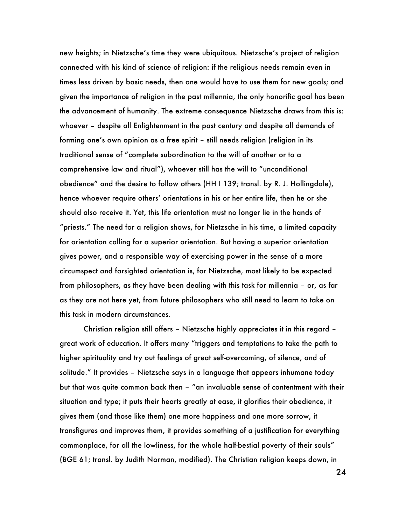new heights; in Nietzsche's time they were ubiquitous. Nietzsche's project of religion connected with his kind of science of religion: if the religious needs remain even in times less driven by basic needs, then one would have to use them for new goals; and given the importance of religion in the past millennia, the only honorific goal has been the advancement of humanity. The extreme consequence Nietzsche draws from this is: whoever – despite all Enlightenment in the past century and despite all demands of forming one's own opinion as a free spirit – still needs religion (religion in its traditional sense of "complete subordination to the will of another or to a comprehensive law and ritual"), whoever still has the will to "unconditional obedience" and the desire to follow others (HH I 139; transl. by R. J. Hollingdale), hence whoever require others' orientations in his or her entire life, then he or she should also receive it. Yet, this life orientation must no longer lie in the hands of "priests." The need for a religion shows, for Nietzsche in his time, a limited capacity for orientation calling for a superior orientation. But having a superior orientation gives power, and a responsible way of exercising power in the sense of a more circumspect and farsighted orientation is, for Nietzsche, most likely to be expected from philosophers, as they have been dealing with this task for millennia – or, as far as they are not here yet, from future philosophers who still need to learn to take on this task in modern circumstances.

Christian religion still offers – Nietzsche highly appreciates it in this regard – great work of education. It offers many "triggers and temptations to take the path to higher spirituality and try out feelings of great self-overcoming, of silence, and of solitude." It provides – Nietzsche says in a language that appears inhumane today but that was quite common back then – "an invaluable sense of contentment with their situation and type; it puts their hearts greatly at ease, it glorifies their obedience, it gives them (and those like them) one more happiness and one more sorrow, it transfigures and improves them, it provides something of a justification for everything commonplace, for all the lowliness, for the whole half-bestial poverty of their souls" (BGE 61; transl. by Judith Norman, modified). The Christian religion keeps down, in

24